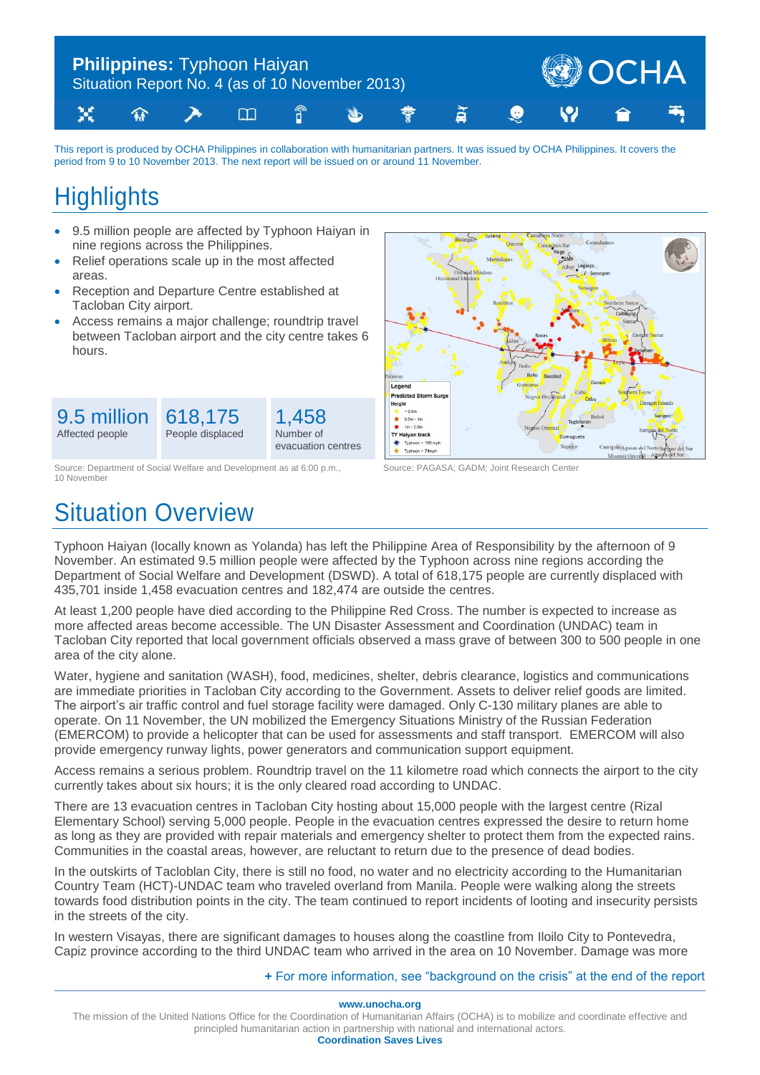

This report is produced by OCHA Philippines in collaboration with humanitarian partners. It was issued by OCHA Philippines. It covers the period from 9 to 10 November 2013. The next report will be issued on or around 11 November.

# **Highlights**

9.5 million Affected people

- 9.5 million people are affected by Typhoon Haiyan in nine regions across the Philippines.
- Relief operations scale up in the most affected areas.
- Reception and Departure Centre established at Tacloban City airport.
- Access remains a major challenge; roundtrip travel between Tacloban airport and the city centre takes 6 hours.



Source: Department of Social Welfare and Development as at 6:00 p.m., Source: PAGASA; GADM; Joint Research Center 10 November

618,175 People displaced

# Situation Overview



Typhoon Haiyan (locally known as Yolanda) has left the Philippine Area of Responsibility by the afternoon of 9 November. An estimated 9.5 million people were affected by the Typhoon across nine regions according the Department of Social Welfare and Development (DSWD). A total of 618,175 people are currently displaced with 435,701 inside 1,458 evacuation centres and 182,474 are outside the centres.

1,458 Number of evacuation centres

At least 1,200 people have died according to the Philippine Red Cross. The number is expected to increase as more affected areas become accessible. The UN Disaster Assessment and Coordination (UNDAC) team in Tacloban City reported that local government officials observed a mass grave of between 300 to 500 people in one area of the city alone.

Water, hygiene and sanitation (WASH), food, medicines, shelter, debris clearance, logistics and communications are immediate priorities in Tacloban City according to the Government. Assets to deliver relief goods are limited. The airport's air traffic control and fuel storage facility were damaged. Only C-130 military planes are able to operate. On 11 November, the UN mobilized the Emergency Situations Ministry of the Russian Federation (EMERCOM) to provide a helicopter that can be used for assessments and staff transport. EMERCOM will also provide emergency runway lights, power generators and communication support equipment.

Access remains a serious problem. Roundtrip travel on the 11 kilometre road which connects the airport to the city currently takes about six hours; it is the only cleared road according to UNDAC.

There are 13 evacuation centres in Tacloban City hosting about 15,000 people with the largest centre (Rizal Elementary School) serving 5,000 people. People in the evacuation centres expressed the desire to return home as long as they are provided with repair materials and emergency shelter to protect them from the expected rains. Communities in the coastal areas, however, are reluctant to return due to the presence of dead bodies.

In the outskirts of Tacloblan City, there is still no food, no water and no electricity according to the Humanitarian Country Team (HCT)-UNDAC team who traveled overland from Manila. People were walking along the streets towards food distribution points in the city. The team continued to report incidents of looting and insecurity persists in the streets of the city.

In western Visayas, there are significant damages to houses along the coastline from Iloilo City to Pontevedra, Capiz province according to the third UNDAC team who arrived in the area on 10 November. Damage was more

**+** [For more information, see "background on the crisis" at the end of the report](#page-3-0)

**www.unocha.org**

The mission of the United Nations Office for the Coordination of Humanitarian Affairs (OCHA) is to mobilize and coordinate effective and principled humanitarian action in partnership with national and international actors. **Coordination Saves Lives**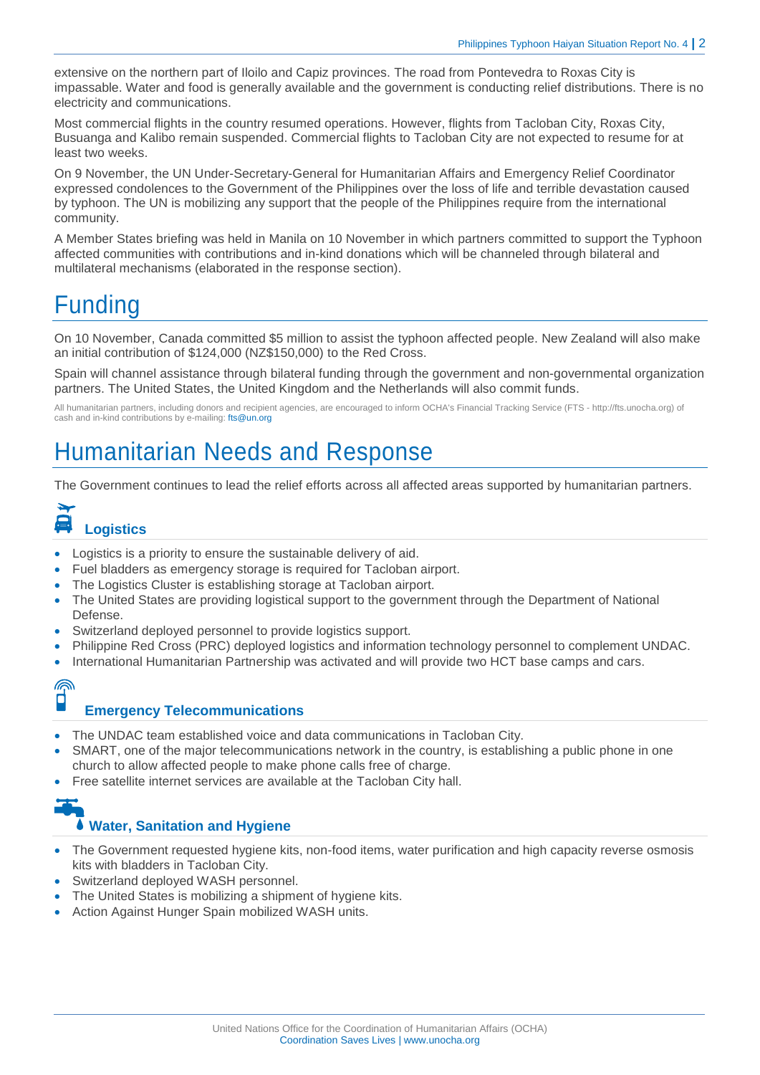extensive on the northern part of Iloilo and Capiz provinces. The road from Pontevedra to Roxas City is impassable. Water and food is generally available and the government is conducting relief distributions. There is no electricity and communications.

Most commercial flights in the country resumed operations. However, flights from Tacloban City, Roxas City, Busuanga and Kalibo remain suspended. Commercial flights to Tacloban City are not expected to resume for at least two weeks.

On 9 November, the UN Under-Secretary-General for Humanitarian Affairs and Emergency Relief Coordinator expressed condolences to the Government of the Philippines over the loss of life and terrible devastation caused by typhoon. The UN is mobilizing any support that the people of the Philippines require from the international community.

A Member States briefing was held in Manila on 10 November in which partners committed to support the Typhoon affected communities with contributions and in-kind donations which will be channeled through bilateral and multilateral mechanisms (elaborated in the response section).

# Funding

On 10 November, Canada committed \$5 million to assist the typhoon affected people. New Zealand will also make an initial contribution of \$124,000 (NZ\$150,000) to the Red Cross.

Spain will channel assistance through bilateral funding through the government and non-governmental organization partners. The United States, the United Kingdom and the Netherlands will also commit funds.

All humanitarian partners, including donors and recipient agencies, are encouraged to inform OCHA's Financial Tracking Service (FTS - http://fts.unocha.org) of cash and in-kind contributions by e-mailing[: fts@un.org](mailto:fts@un.org)

### Humanitarian Needs and Response

The Government continues to lead the relief efforts across all affected areas supported by humanitarian partners.

# **Logistics**

- Logistics is a priority to ensure the sustainable delivery of aid.
- Fuel bladders as emergency storage is required for Tacloban airport.
- The Logistics Cluster is establishing storage at Tacloban airport.
- The United States are providing logistical support to the government through the Department of National Defense.
- Switzerland deployed personnel to provide logistics support.
- Philippine Red Cross (PRC) deployed logistics and information technology personnel to complement UNDAC.
- International Humanitarian Partnership was activated and will provide two HCT base camps and cars.

### ⋒ Ø

#### **Emergency Telecommunications**

- The UNDAC team established voice and data communications in Tacloban City.
- SMART, one of the major telecommunications network in the country, is establishing a public phone in one church to allow affected people to make phone calls free of charge.
- Free satellite internet services are available at the Tacloban City hall.

# **Water, Sanitation and Hygiene**

- The Government requested hygiene kits, non-food items, water purification and high capacity reverse osmosis kits with bladders in Tacloban City.
- Switzerland deployed WASH personnel.
- The United States is mobilizing a shipment of hygiene kits.
- Action Against Hunger Spain mobilized WASH units.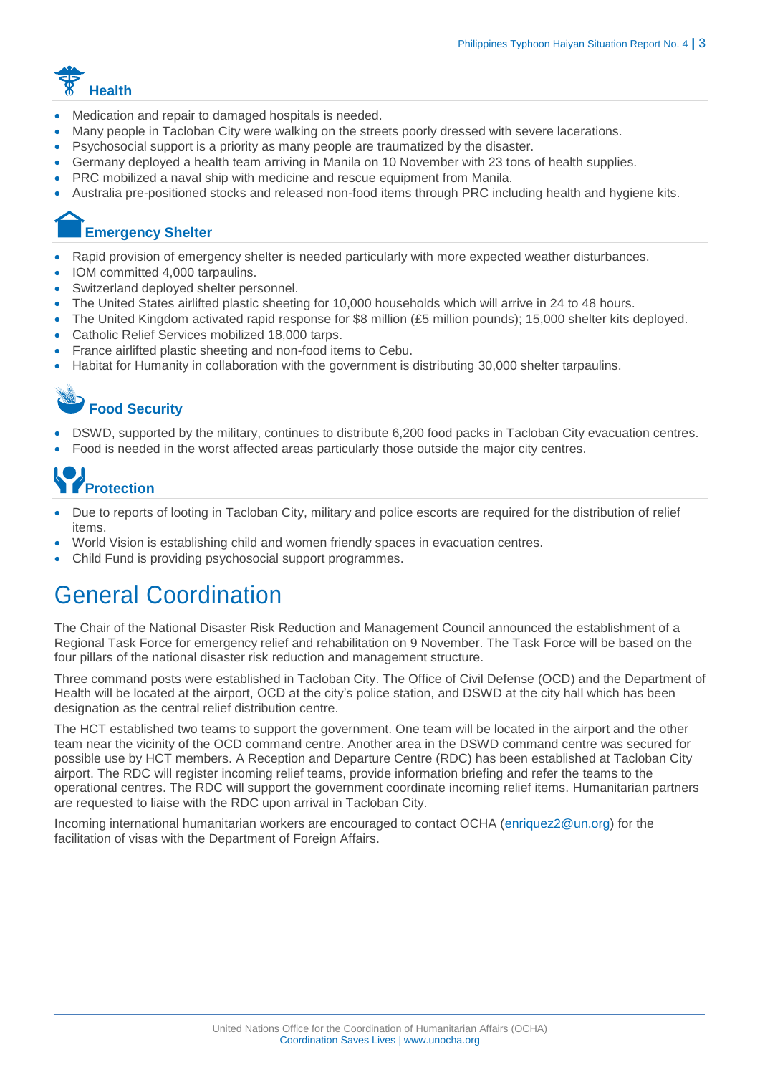

- Medication and repair to damaged hospitals is needed.
- Many people in Tacloban City were walking on the streets poorly dressed with severe lacerations.
- Psychosocial support is a priority as many people are traumatized by the disaster.
- Germany deployed a health team arriving in Manila on 10 November with 23 tons of health supplies.
- PRC mobilized a naval ship with medicine and rescue equipment from Manila.
- Australia pre-positioned stocks and released non-food items through PRC including health and hygiene kits.

### **Emergency Shelter**

- Rapid provision of emergency shelter is needed particularly with more expected weather disturbances.
- IOM committed 4,000 tarpaulins.
- Switzerland deployed shelter personnel.
- The United States airlifted plastic sheeting for 10,000 households which will arrive in 24 to 48 hours.
- The United Kingdom activated rapid response for \$8 million (£5 million pounds); 15,000 shelter kits deployed.
- Catholic Relief Services mobilized 18,000 tarps.
- France airlifted plastic sheeting and non-food items to Cebu.
- Habitat for Humanity in collaboration with the government is distributing 30,000 shelter tarpaulins.

## **Food Security**

- DSWD, supported by the military, continues to distribute 6,200 food packs in Tacloban City evacuation centres.
- Food is needed in the worst affected areas particularly those outside the major city centres.

# **Protection**

- Due to reports of looting in Tacloban City, military and police escorts are required for the distribution of relief items.
- World Vision is establishing child and women friendly spaces in evacuation centres.
- Child Fund is providing psychosocial support programmes.

## General Coordination

The Chair of the National Disaster Risk Reduction and Management Council announced the establishment of a Regional Task Force for emergency relief and rehabilitation on 9 November. The Task Force will be based on the four pillars of the national disaster risk reduction and management structure.

Three command posts were established in Tacloban City. The Office of Civil Defense (OCD) and the Department of Health will be located at the airport, OCD at the city's police station, and DSWD at the city hall which has been designation as the central relief distribution centre.

The HCT established two teams to support the government. One team will be located in the airport and the other team near the vicinity of the OCD command centre. Another area in the DSWD command centre was secured for possible use by HCT members. A Reception and Departure Centre (RDC) has been established at Tacloban City airport. The RDC will register incoming relief teams, provide information briefing and refer the teams to the operational centres. The RDC will support the government coordinate incoming relief items. Humanitarian partners are requested to liaise with the RDC upon arrival in Tacloban City.

Incoming international humanitarian workers are encouraged to contact OCHA [\(enriquez2@un.org\)](mailto:enriquez2@un.org) for the facilitation of visas with the Department of Foreign Affairs.